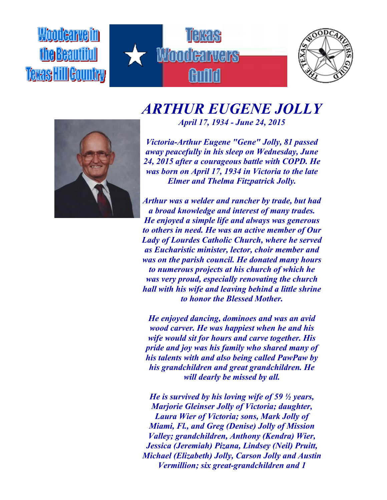Woodearveim fhe Beautiful **TERAS HillGountry** 





## *ARTHUR EUGENE JOLLY April 17, 1934 - June 24, 2015*



*Victoria-Arthur Eugene "Gene" Jolly, 81 passed away peacefully in his sleep on Wednesday, June 24, 2015 after a courageous battle with COPD. He was born on April 17, 1934 in Victoria to the late Elmer and Thelma Fitzpatrick Jolly.*

*Arthur was a welder and rancher by trade, but had a broad knowledge and interest of many trades. He enjoyed a simple life and always was generous to others in need. He was an active member of Our Lady of Lourdes Catholic Church, where he served as Eucharistic minister, lector, choir member and was on the parish council. He donated many hours to numerous projects at his church of which he was very proud, especially renovating the church hall with his wife and leaving behind a little shrine to honor the Blessed Mother.*

*He enjoyed dancing, dominoes and was an avid wood carver. He was happiest when he and his wife would sit for hours and carve together. His pride and joy was his family who shared many of his talents with and also being called PawPaw by his grandchildren and great grandchildren. He will dearly be missed by all.*

*He is survived by his loving wife of 59 ½ years, Marjorie Gleinser Jolly of Victoria; daughter, Laura Wier of Victoria; sons, Mark Jolly of Miami, Fl., and Greg (Denise) Jolly of Mission Valley; grandchildren, Anthony (Kendra) Wier, Jessica (Jeremiah) Pizana, Lindsey (Neil) Pruitt, Michael (Elizabeth) Jolly, Carson Jolly and Austin Vermillion; six great-grandchildren and 1*